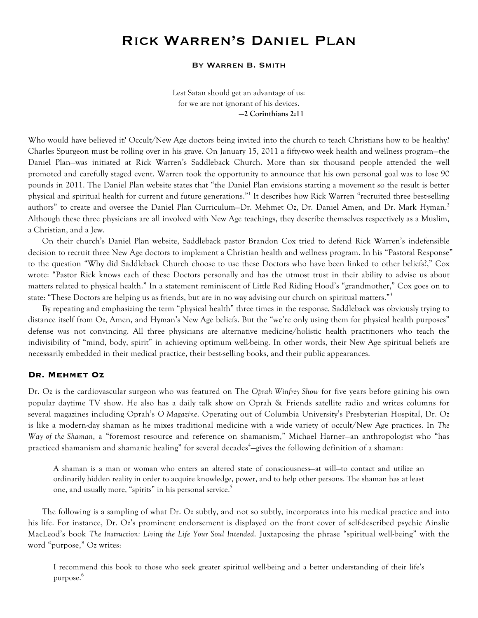# Rick Warren's Daniel Plan

#### By Warren B. Smith

Lest Satan should get an advantage of us: for we are not ignorant of his devices. **—2 Corinthians 2:11**

Who would have believed it? Occult/New Age doctors being invited into the church to teach Christians how to be healthy? Charles Spurgeon must be rolling over in his grave. On January 15, 2011 a fifty-two week health and wellness program—the Daniel Plan—was initiated at Rick Warren's Saddleback Church. More than six thousand people attended the well promoted and carefully staged event. Warren took the opportunity to announce that his own personal goal was to lose 90 pounds in 2011. The Daniel Plan website states that "the Daniel Plan envisions starting a movement so the result is better physical and spiritual health for current and future generations."<sup>1</sup> It describes how Rick Warren "recruited three best-selling authors" to create and oversee the Daniel Plan Curriculum–Dr. Mehmet Oz, Dr. Daniel Amen, and Dr. Mark Hyman.<sup>2</sup> Although these three physicians are all involved with New Age teachings, they describe themselves respectively as a Muslim, a Christian, and a Jew.

On their church's Daniel Plan website, Saddleback pastor Brandon Cox tried to defend Rick Warren's indefensible decision to recruit three New Age doctors to implement a Christian health and wellness program. In his "Pastoral Response" to the question "Why did Saddleback Church choose to use these Doctors who have been linked to other beliefs?," Cox wrote: "Pastor Rick knows each of these Doctors personally and has the utmost trust in their ability to advise us about matters related to physical health." In a statement reminiscent of Little Red Riding Hood's "grandmother," Cox goes on to state: "These Doctors are helping us as friends, but are in no way advising our church on spiritual matters."<sup>3</sup>

By repeating and emphasizing the term "physical health" three times in the response, Saddleback was obviously trying to distance itself from Oz, Amen, and Hyman's New Age beliefs. But the "we're only using them for physical health purposes" defense was not convincing. All three physicians are alternative medicine/holistic health practitioners who teach the indivisibility of "mind, body, spirit" in achieving optimum well-being. In other words, their New Age spiritual beliefs are necessarily embedded in their medical practice, their best-selling books, and their public appearances.

### **Dr. Mehmet Oz**

Dr. Oz is the cardiovascular surgeon who was featured on The *Oprah Winfrey Show* for five years before gaining his own popular daytime TV show. He also has a daily talk show on Oprah & Friends satellite radio and writes columns for several magazines including Oprah's *O Magazine*. Operating out of Columbia University's Presbyterian Hospital, Dr. Oz is like a modern-day shaman as he mixes traditional medicine with a wide variety of occult/New Age practices. In *The Way of the Shaman*, a "foremost resource and reference on shamanism," Michael Harner—an anthropologist who "has practiced shamanism and shamanic healing" for several decades<sup>4</sup>—gives the following definition of a shaman:

A shaman is a man or woman who enters an altered state of consciousness—at will—to contact and utilize an ordinarily hidden reality in order to acquire knowledge, power, and to help other persons. The shaman has at least one, and usually more, "spirits" in his personal service.<sup>5</sup>

The following is a sampling of what Dr. Oz subtly, and not so subtly, incorporates into his medical practice and into his life. For instance, Dr. Oz's prominent endorsement is displayed on the front cover of self-described psychic Ainslie MacLeod's book *The Instruction: Living the Life Your Soul Intended*. Juxtaposing the phrase "spiritual well-being" with the word "purpose," Oz writes:

I recommend this book to those who seek greater spiritual well-being and a better understanding of their life's purpose.<sup>6</sup>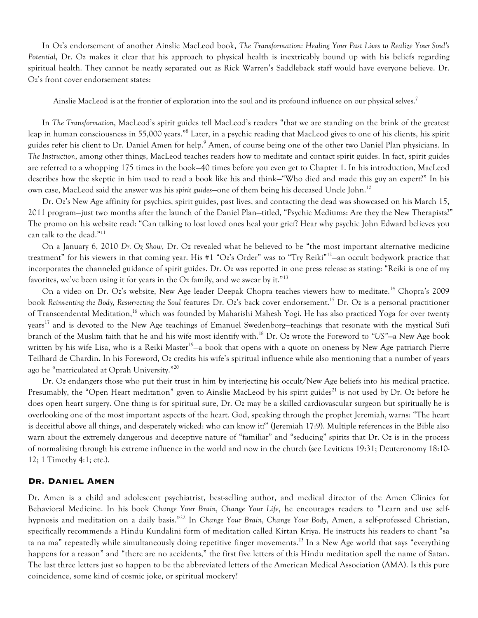In Oz's endorsement of another Ainslie MacLeod book, *The Transformation: Healing Your Past Lives to Realize Your Soul's Potential*, Dr. Oz makes it clear that his approach to physical health is inextricably bound up with his beliefs regarding spiritual health. They cannot be neatly separated out as Rick Warren's Saddleback staff would have everyone believe. Dr. Oz's front cover endorsement states:

Ainslie MacLeod is at the frontier of exploration into the soul and its profound influence on our physical selves.<sup>7</sup>

In *The Transformation*, MacLeod's spirit guides tell MacLeod's readers "that we are standing on the brink of the greatest leap in human consciousness in 55,000 years."8 Later, in a psychic reading that MacLeod gives to one of his clients, his spirit guides refer his client to Dr. Daniel Amen for help.<sup>9</sup> Amen, of course being one of the other two Daniel Plan physicians. In *The Instruction*, among other things, MacLeod teaches readers how to meditate and contact spirit guides. In fact, spirit guides are referred to a whopping 175 times in the book—40 times before you even get to Chapter 1. In his introduction, MacLeod describes how the skeptic in him used to read a book like his and think—"Who died and made this guy an expert?" In his own case, MacLeod said the answer was his *spirit guides*—one of them being his deceased Uncle John.<sup>10</sup>

Dr. Oz's New Age affinity for psychics, spirit guides, past lives, and contacting the dead was showcased on his March 15, 2011 program—just two months after the launch of the Daniel Plan—titled, "Psychic Mediums: Are they the New Therapists?" The promo on his website read: "Can talking to lost loved ones heal your grief? Hear why psychic John Edward believes you can talk to the dead."<sup>11</sup>

On a January 6, 2010 *Dr. Oz Show*, Dr. Oz revealed what he believed to be "the most important alternative medicine treatment" for his viewers in that coming year. His #1 "Oz's Order" was to "Try Reiki"<sup>12</sup>-an occult bodywork practice that incorporates the channeled guidance of spirit guides. Dr. Oz was reported in one press release as stating: "Reiki is one of my favorites, we've been using it for years in the  $Oz$  family, and we swear by it."<sup>13</sup>

On a video on Dr. Oz's website, New Age leader Deepak Chopra teaches viewers how to meditate.<sup>14</sup> Chopra's 2009 book *Reinventing the Body, Resurrecting the Soul* features Dr. Oz's back cover endorsement.<sup>15</sup> Dr. Oz is a personal practitioner of Transcendental Meditation,<sup>16</sup> which was founded by Maharishi Mahesh Yogi. He has also practiced Yoga for over twenty years<sup>17</sup> and is devoted to the New Age teachings of Emanuel Swedenborg-teachings that resonate with the mystical Sufi branch of the Muslim faith that he and his wife most identify with.<sup>18</sup> Dr. Oz wrote the Foreword to *"US"*—a New Age book written by his wife Lisa, who is a Reiki Master<sup>19</sup>—a book that opens with a quote on oneness by New Age patriarch Pierre Teilhard de Chardin. In his Foreword, Oz credits his wife's spiritual influence while also mentioning that a number of years ago he "matriculated at Oprah University."<sup>20</sup>

Dr. Oz endangers those who put their trust in him by interjecting his occult/New Age beliefs into his medical practice. Presumably, the "Open Heart meditation" given to Ainslie MacLeod by his spirit guides<sup>21</sup> is not used by Dr. Oz before he does open heart surgery. One thing is for spiritual sure, Dr. Oz may be a skilled cardiovascular surgeon but spiritually he is overlooking one of the most important aspects of the heart. God, speaking through the prophet Jeremiah, warns: "The heart is deceitful above all things, and desperately wicked: who can know it?" (Jeremiah 17:9). Multiple references in the Bible also warn about the extremely dangerous and deceptive nature of "familiar" and "seducing" spirits that Dr. Oz is in the process of normalizing through his extreme influence in the world and now in the church (see Leviticus 19:31; Deuteronomy 18:10- 12; 1 Timothy 4:1; etc.).

### **Dr. Daniel Amen**

Dr. Amen is a child and adolescent psychiatrist, best-selling author, and medical director of the Amen Clinics for Behavioral Medicine. In his book *Change Your Brain, Change Your Life*, he encourages readers to "Learn and use selfhypnosis and meditation on a daily basis."<sup>22</sup> In *Change Your Brain, Change Your Body*, Amen, a self-professed Christian, specifically recommends a Hindu Kundalini form of meditation called Kirtan Kriya. He instructs his readers to chant "sa ta na ma" repeatedly while simultaneously doing repetitive finger movements.<sup>23</sup> In a New Age world that says "everything happens for a reason" and "there are no accidents," the first five letters of this Hindu meditation spell the name of Satan. The last three letters just so happen to be the abbreviated letters of the American Medical Association (AMA). Is this pure coincidence, some kind of cosmic joke, or spiritual mockery?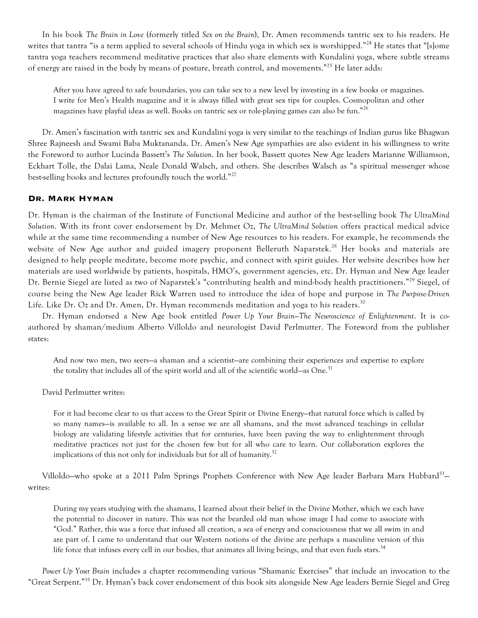In his book *The Brain in Love* (formerly titled *Sex on the Brain*), Dr. Amen recommends tantric sex to his readers. He writes that tantra "is a term applied to several schools of Hindu yoga in which sex is worshipped."<sup>24</sup> He states that "[s]ome tantra yoga teachers recommend meditative practices that also share elements with Kundalini yoga, where subtle streams of energy are raised in the body by means of posture, breath control, and movements."<sup>25</sup> He later adds:

After you have agreed to safe boundaries, you can take sex to a new level by investing in a few books or magazines. I write for Men's Health magazine and it is always filled with great sex tips for couples. Cosmopolitan and other magazines have playful ideas as well. Books on tantric sex or role-playing games can also be fun."<sup>26</sup>

Dr. Amen's fascination with tantric sex and Kundalini yoga is very similar to the teachings of Indian gurus like Bhagwan Shree Rajneesh and Swami Baba Muktananda. Dr. Amen's New Age sympathies are also evident in his willingness to write the Foreword to author Lucinda Bassett's *The Solution*. In her book, Bassett quotes New Age leaders Marianne Williamson, Eckhart Tolle, the Dalai Lama, Neale Donald Walsch, and others. She describes Walsch as "a spiritual messenger whose best-selling books and lectures profoundly touch the world."<sup>27</sup>

# **Dr. Mark Hyman**

Dr. Hyman is the chairman of the Institute of Functional Medicine and author of the best-selling book *The UltraMind Solution*. With its front cover endorsement by Dr. Mehmet Oz, *The UltraMind Solution* offers practical medical advice while at the same time recommending a number of New Age resources to his readers. For example, he recommends the website of New Age author and guided imagery proponent Belleruth Naparstek.<sup>28</sup> Her books and materials are designed to help people meditate, become more psychic, and connect with spirit guides. Her website describes how her materials are used worldwide by patients, hospitals, HMO's, government agencies, etc. Dr. Hyman and New Age leader Dr. Bernie Siegel are listed as two of Naparstek's "contributing health and mind-body health practitioners."<sup>29</sup> Siegel, of course being the New Age leader Rick Warren used to introduce the idea of hope and purpose in *The Purpose-Driven* Life. Like Dr. Oz and Dr. Amen, Dr. Hyman recommends meditation and yoga to his readers.<sup>30</sup>

Dr. Hyman endorsed a New Age book entitled *Power Up Your Brain—The Neuroscience of Enlightenment*. It is coauthored by shaman/medium Alberto Villoldo and neurologist David Perlmutter. The Foreword from the publisher states:

And now two men, two seers—a shaman and a scientist—are combining their experiences and expertise to explore the totality that includes all of the spirit world and all of the scientific world—as One.<sup>31</sup>

David Perlmutter writes:

For it had become clear to us that access to the Great Spirit or Divine Energy—that natural force which is called by so many names—is available to all. In a sense we are all shamans, and the most advanced teachings in cellular biology are validating lifestyle activities that for centuries, have been paving the way to enlightenment through meditative practices not just for the chosen few but for all who care to learn. Our collaboration explores the implications of this not only for individuals but for all of humanity.<sup>32</sup>

Villoldo—who spoke at a 2011 Palm Springs Prophets Conference with New Age leader Barbara Marx Hubbard<sup>33</sup> writes:

During my years studying with the shamans, I learned about their belief in the Divine Mother, which we each have the potential to discover in nature. This was not the bearded old man whose image I had come to associate with "God." Rather, this was a force that infused all creation, a sea of energy and consciousness that we all swim in and are part of. I came to understand that our Western notions of the divine are perhaps a masculine version of this life force that infuses every cell in our bodies, that animates all living beings, and that even fuels stars.<sup>34</sup>

*Power Up Your Brain* includes a chapter recommending various "Shamanic Exercises" that include an invocation to the "Great Serpent."<sup>35</sup> Dr. Hyman's back cover endorsement of this book sits alongside New Age leaders Bernie Siegel and Greg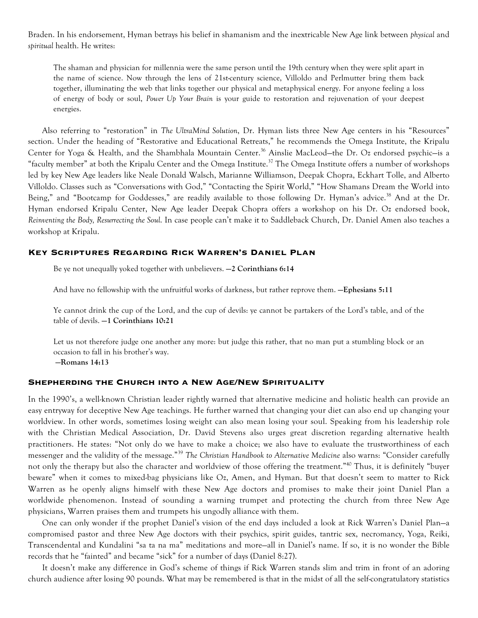Braden. In his endorsement, Hyman betrays his belief in shamanism and the inextricable New Age link between *physical* and *spiritual* health. He writes:

The shaman and physician for millennia were the same person until the 19th century when they were split apart in the name of science. Now through the lens of 21st-century science, Villoldo and Perlmutter bring them back together, illuminating the web that links together our physical and metaphysical energy. For anyone feeling a loss of energy of body or soul, *Power Up Your Brain* is your guide to restoration and rejuvenation of your deepest energies.

Also referring to "restoration" in *The UltraMind Solution*, Dr. Hyman lists three New Age centers in his "Resources" section. Under the heading of "Restorative and Educational Retreats," he recommends the Omega Institute, the Kripalu Center for Yoga & Health, and the Shambhala Mountain Center.<sup>36</sup> Ainslie MacLeod-the Dr. Oz endorsed psychic-is a "faculty member" at both the Kripalu Center and the Omega Institute.<sup>37</sup> The Omega Institute offers a number of workshops led by key New Age leaders like Neale Donald Walsch, Marianne Williamson, Deepak Chopra, Eckhart Tolle, and Alberto Villoldo. Classes such as "Conversations with God," "Contacting the Spirit World," "How Shamans Dream the World into Being," and "Bootcamp for Goddesses," are readily available to those following Dr. Hyman's advice.<sup>38</sup> And at the Dr. Hyman endorsed Kripalu Center, New Age leader Deepak Chopra offers a workshop on his Dr. Oz endorsed book, *Reinventing the Body, Resurrecting the Soul*. In case people can't make it to Saddleback Church, Dr. Daniel Amen also teaches a workshop at Kripalu.

## **Key Scriptures Regarding Rick Warren's Daniel Plan**

Be ye not unequally yoked together with unbelievers. **—2 Corinthians 6:14**

And have no fellowship with the unfruitful works of darkness, but rather reprove them. **—Ephesians 5:11**

Ye cannot drink the cup of the Lord, and the cup of devils: ye cannot be partakers of the Lord's table, and of the table of devils. **—1 Corinthians 10:21**

Let us not therefore judge one another any more: but judge this rather, that no man put a stumbling block or an occasion to fall in his brother's way. **—Romans 14:13**

# **Shepherding the Church into a New Age/New Spirituality**

In the 1990's, a well-known Christian leader rightly warned that alternative medicine and holistic health can provide an easy entryway for deceptive New Age teachings. He further warned that changing your diet can also end up changing your worldview. In other words, sometimes losing weight can also mean losing your soul. Speaking from his leadership role with the Christian Medical Association, Dr. David Stevens also urges great discretion regarding alternative health practitioners. He states: "Not only do we have to make a choice; we also have to evaluate the trustworthiness of each messenger and the validity of the message."<sup>39</sup> *The Christian Handbook to Alternative Medicine* also warns: "Consider carefully not only the therapy but also the character and worldview of those offering the treatment."<sup>40</sup> Thus, it is definitely "buyer beware" when it comes to mixed-bag physicians like Oz, Amen, and Hyman. But that doesn't seem to matter to Rick Warren as he openly aligns himself with these New Age doctors and promises to make their joint Daniel Plan a worldwide phenomenon. Instead of sounding a warning trumpet and protecting the church from three New Age physicians, Warren praises them and trumpets his ungodly alliance with them.

One can only wonder if the prophet Daniel's vision of the end days included a look at Rick Warren's Daniel Plan—a compromised pastor and three New Age doctors with their psychics, spirit guides, tantric sex, necromancy, Yoga, Reiki, Transcendental and Kundalini "sa ta na ma" meditations and more—all in Daniel's name. If so, it is no wonder the Bible records that he "fainted" and became "sick" for a number of days (Daniel 8:27).

It doesn't make any difference in God's scheme of things if Rick Warren stands slim and trim in front of an adoring church audience after losing 90 pounds. What may be remembered is that in the midst of all the self-congratulatory statistics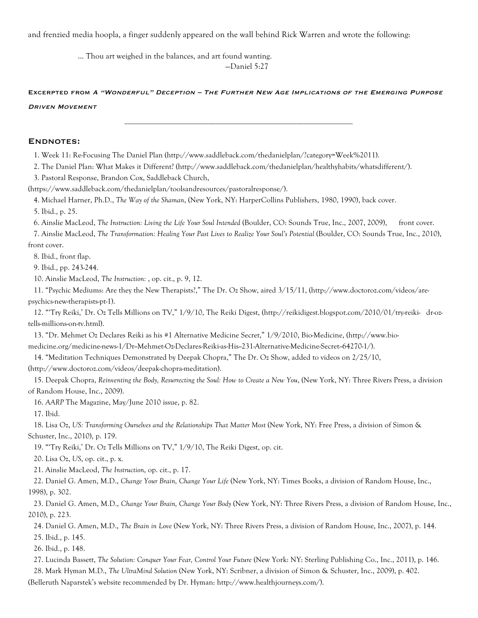and frenzied media hoopla, a finger suddenly appeared on the wall behind Rick Warren and wrote the following:

 … Thou art weighed in the balances, and art found wanting. —Daniel 5:27

Excerpted from A "Wonderful" Deception – The Further New Age Implications of the Emerging Purpose DRIVEN MOVEMENT

## Endnotes:

1. Week 11: Re-Focusing The Daniel Plan (http://www.saddleback.com/thedanielplan/?category=Week%2011).

2. The Daniel Plan: What Makes it Different? (http://www.saddleback.com/thedanielplan/healthyhabits/whatsdifferent/).

3. Pastoral Response, Brandon Cox, Saddleback Church,

(https://www.saddleback.com/thedanielplan/toolsandresources/pastoralresponse/).

4. Michael Harner, Ph.D., *The Way of the Shaman*, (New York, NY: HarperCollins Publishers, 1980, 1990), back cover.

5. Ibid., p. 25.

6. Ainslie MacLeod, *The Instruction: Living the Life Your Soul Intended* (Boulder, CO: Sounds True, Inc., 2007, 2009), front cover.

7. Ainslie MacLeod, *The Transformation: Healing Your Past Lives to Realize Your Soul's Potential* (Boulder, CO: Sounds True, Inc., 2010), front cover.

8. Ibid., front flap.

9. Ibid., pp. 243-244.

10. Ainslie MacLeod, *The Instruction:* , op. cit., p. 9, 12.

11. "Psychic Mediums: Are they the New Therapists?," The Dr. Oz Show, aired 3/15/11, (http://www.doctoroz.com/videos/arepsychics-new-therapists-pt-1).

12. "'Try Reiki,' Dr. Oz Tells Millions on TV," 1/9/10, The Reiki Digest, (http://reikidigest.blogspot.com/2010/01/try-reiki- dr-oztells-millions-on-tv.html).

13. "Dr. Mehmet Oz Declares Reiki as his #1 Alternative Medicine Secret," 1/9/2010, Bio-Medicine, (http://www.bio-

medicine.org/medicine-news-1/Dr--Mehmet-Oz-Declares-Reiki-as-His--231-Alternative-Medicine-Secret--64270-1/).

14. "Meditation Techniques Demonstrated by Deepak Chopra," The Dr. Oz Show, added to videos on 2/25/10,

(http://www.doctoroz.com/videos/deepak-chopra-meditation).

15. Deepak Chopra, *Reinventing the Body, Resurrecting the Soul: How to Create a New You*, (New York, NY: Three Rivers Press, a division of Random House, Inc., 2009).

16. *AARP* The Magazine, May/June 2010 issue, p. 82.

17. Ibid.

18. Lisa Oz, *US: Transforming Ourselves and the Relationships That Matter Most* (New York, NY: Free Press, a division of Simon & Schuster, Inc., 2010), p. 179.

19. "'Try Reiki,' Dr. Oz Tells Millions on TV," 1/9/10, The Reiki Digest, op. cit.

20. Lisa Oz, *US*, op. cit., p. x.

21. Ainslie MacLeod, *The Instruction*, op. cit., p. 17.

22. Daniel G. Amen, M.D., *Change Your Brain, Change Your Life* (New York, NY: Times Books, a division of Random House, Inc., 1998), p. 302.

23. Daniel G. Amen, M.D., *Change Your Brain, Change Your Body* (New York, NY: Three Rivers Press, a division of Random House, Inc., 2010), p. 223.

24. Daniel G. Amen, M.D., *The Brain in Love* (New York, NY: Three Rivers Press, a division of Random House, Inc., 2007), p. 144. 25. Ibid., p. 145.

26. Ibid., p. 148.

27. Lucinda Bassett, *The Solution: Conquer Your Fear, Control Your Future* (New York: NY: Sterling Publishing Co., Inc., 2011), p. 146.

28. Mark Hyman M.D., *The UltraMind Solution* (New York, NY: Scribner, a division of Simon & Schuster, Inc., 2009), p. 402.

(Belleruth Naparstek's website recommended by Dr. Hyman: http://www.healthjourneys.com/).